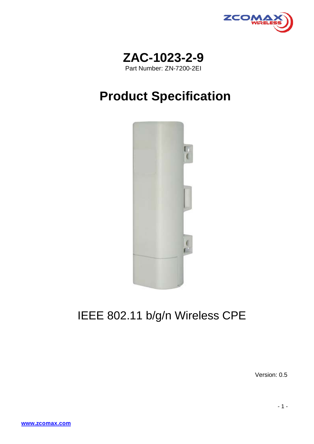



# **Product Specification**



## IEEE 802.11 b/g/n Wireless CPE

Version: 0.5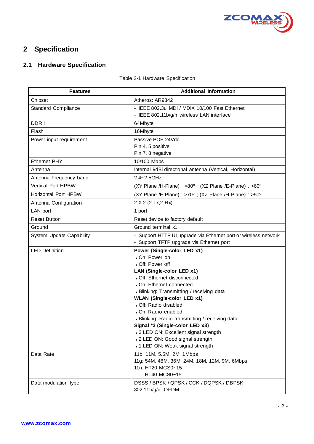

### **2 Specification**

#### **2.1 Hardware Specification**

#### Table 2-1 Hardware Specification

| <b>Features</b>             | <b>Additional Information</b>                                                                               |  |  |
|-----------------------------|-------------------------------------------------------------------------------------------------------------|--|--|
| Chipset                     | Atheros: AR9342                                                                                             |  |  |
| Standard Compliance         | - IEEE 802.3u MDI / MDIX 10/100 Fast Ethernet                                                               |  |  |
|                             | - IEEE 802.11b/g/n wireless LAN interface                                                                   |  |  |
| <b>DDRII</b>                | 64Mbyte                                                                                                     |  |  |
| Flash                       | 16Mbyte                                                                                                     |  |  |
| Power input requirement     | Passive POE 24Vdc                                                                                           |  |  |
|                             | Pin 4, 5 positive                                                                                           |  |  |
|                             | Pin 7, 8 negative                                                                                           |  |  |
| Ethernet PHY                | 10/100 Mbps                                                                                                 |  |  |
| Antenna                     | Internal 9dBi directional antenna (Vertical, Horizontal)                                                    |  |  |
| Antenna Frequency band      | 2.4~2.5GHz                                                                                                  |  |  |
| <b>Vertical Port HPBW</b>   | (XY Plane /H-Plane) : >80° ; (XZ Plane /E-Plane) : >60°                                                     |  |  |
| <b>Horizontal Port HPBW</b> | (XY Plane /E-Plane) : >70 $^{\circ}$ ; (XZ Plane /H-Plane) : >50 $^{\circ}$                                 |  |  |
| Antenna Configuration       | 2 X 2 (2 Tx, 2 Rx)                                                                                          |  |  |
| LAN port                    | 1 port                                                                                                      |  |  |
| <b>Reset Button</b>         | Reset device to factory default                                                                             |  |  |
| Ground                      | Ground terminal x1                                                                                          |  |  |
| System Update Capability    | - Support HTTP UI upgrade via Ethernet port or wireless network<br>- Support TFTP upgrade via Ethernet port |  |  |
| <b>LED Definition</b>       | Power (Single-color LED x1)                                                                                 |  |  |
|                             | • On: Power on                                                                                              |  |  |
|                             | • Off: Power off                                                                                            |  |  |
|                             | LAN (Single-color LED x1)                                                                                   |  |  |
|                             | • Off: Ethernet disconnected                                                                                |  |  |
|                             | . On: Ethernet connected                                                                                    |  |  |
|                             | • Blinking: Transmitting / receiving data                                                                   |  |  |
|                             | <b>WLAN (Single-color LED x1)</b><br>• Off: Radio disabled                                                  |  |  |
|                             | • On: Radio enabled                                                                                         |  |  |
|                             | • Blinking: Radio transmitting / receiving data                                                             |  |  |
|                             | Signal *3 (Single-color LED x3)                                                                             |  |  |
|                             | +3 LED ON: Excellent signal strength                                                                        |  |  |
|                             | . 2 LED ON: Good signal strength                                                                            |  |  |
|                             | . 1 LED ON: Weak signal strength                                                                            |  |  |
| Data Rate                   | 11b: 11M, 5.5M, 2M, 1Mbps                                                                                   |  |  |
|                             | 11g: 54M, 48M, 36M, 24M, 18M, 12M, 9M, 6Mbps                                                                |  |  |
|                             | 11n: HT20 MCS0~15                                                                                           |  |  |
|                             | HT40 MCS0~15                                                                                                |  |  |
| Data modulation type        | DSSS / BPSK / QPSK / CCK / DQPSK / DBPSK                                                                    |  |  |
|                             | 802.11b/g/n: OFDM                                                                                           |  |  |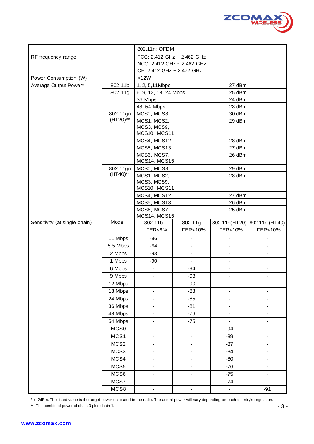

|                               |                  | 802.11n: OFDM                |  |                          |                              |                              |
|-------------------------------|------------------|------------------------------|--|--------------------------|------------------------------|------------------------------|
| RF frequency range            |                  | FCC: 2.412 GHz ~ 2.462 GHz   |  |                          |                              |                              |
|                               |                  | NCC: 2.412 GHz ~ 2.462 GHz   |  |                          |                              |                              |
|                               |                  | CE: 2.412 GHz ~ 2.472 GHz    |  |                          |                              |                              |
| Power Consumption (W)         |                  | <12W                         |  |                          |                              |                              |
| Average Output Power*         | 802.11b          | 1, 2, 5, 11 Mbps             |  | 27 dBm                   |                              |                              |
|                               | 802.11g          | 6, 9, 12, 18, 24 Mbps        |  |                          | 25 dBm                       |                              |
|                               |                  | 36 Mbps                      |  |                          | 24 dBm                       |                              |
|                               |                  | 48, 54 Mbps                  |  |                          | 23 dBm                       |                              |
|                               | 802.11gn         | MCS0, MCS8                   |  |                          | 30 dBm                       |                              |
|                               | (HT20)**         | MCS1, MCS2,                  |  |                          | 29 dBm                       |                              |
|                               |                  | MCS3, MCS9,                  |  |                          |                              |                              |
|                               |                  | MCS10, MCS11                 |  |                          |                              |                              |
|                               |                  | MCS4, MCS12<br>MCS5, MCS13   |  |                          | 28 dBm<br>27 dBm             |                              |
|                               |                  | MCS6, MCS7,                  |  |                          | 26 dBm                       |                              |
|                               |                  | <b>MCS14, MCS15</b>          |  |                          |                              |                              |
|                               | 802.11gn         | MCS0, MCS8                   |  |                          | 29 dBm                       |                              |
|                               | $(HT40)$ **      | MCS1, MCS2,                  |  |                          | 28 dBm                       |                              |
|                               |                  | MCS3, MCS9,                  |  |                          |                              |                              |
|                               |                  | MCS10, MCS11                 |  |                          |                              |                              |
|                               |                  | MCS4, MCS12                  |  |                          | 27 dBm                       |                              |
|                               |                  | MCS5, MCS13<br>MCS6, MCS7,   |  |                          | 26 dBm<br>25 dBm             |                              |
|                               |                  | <b>MCS14, MCS15</b>          |  |                          |                              |                              |
| Sensitivity (at single chain) | Mode             | 802.11b                      |  | 802.11g                  |                              | 802.11n(HT20) 802.11n (HT40) |
|                               |                  | <b>FER&lt;8%</b>             |  | FER<10%                  | FER<10%                      | FER<10%                      |
|                               | 11 Mbps          | $-96$                        |  | $\overline{\phantom{a}}$ | $\overline{\phantom{a}}$     |                              |
|                               | 5.5 Mbps         | $-94$                        |  | $\blacksquare$           | $\overline{\phantom{a}}$     | $\overline{\phantom{a}}$     |
|                               | 2 Mbps           | $-93$                        |  | $\overline{\phantom{a}}$ | $\blacksquare$               | $\overline{\phantom{a}}$     |
|                               | 1 Mbps           | $-90$                        |  |                          | $\blacksquare$               |                              |
|                               | 6 Mbps           | $\overline{\phantom{a}}$     |  | -94                      | $\blacksquare$               | $\overline{\phantom{0}}$     |
|                               | 9 Mbps           | $\blacksquare$               |  | $-93$                    | $\blacksquare$               | $\overline{\phantom{a}}$     |
|                               | 12 Mbps          | $\qquad \qquad \blacksquare$ |  | $-90$                    | $\qquad \qquad \blacksquare$ | $\qquad \qquad \blacksquare$ |
|                               | 18 Mbps          | $\blacksquare$               |  | $-88$                    | $\qquad \qquad \blacksquare$ |                              |
|                               | 24 Mbps          | $\qquad \qquad -$            |  | $-85$                    | $\overline{\phantom{a}}$     | $\overline{\phantom{0}}$     |
|                               | 36 Mbps          | $\overline{\phantom{0}}$     |  | $-81$                    | $\overline{\phantom{a}}$     | -                            |
|                               | 48 Mbps          | $\overline{\phantom{a}}$     |  | $-76$                    | $\blacksquare$               | $\overline{\phantom{0}}$     |
|                               | 54 Mbps          | $\overline{\phantom{0}}$     |  | $-75$                    | $\overline{a}$               | $\overline{\phantom{a}}$     |
|                               | MCS0             | $\qquad \qquad \blacksquare$ |  | $\blacksquare$           | $-94$                        | $\overline{\phantom{0}}$     |
|                               | MCS1             | $\blacksquare$               |  | $\blacksquare$           | $-89$                        | $\blacksquare$               |
|                               | MCS <sub>2</sub> | $\overline{\phantom{a}}$     |  | $\overline{\phantom{a}}$ | $-87$                        | $\overline{\phantom{0}}$     |
|                               | MCS3             | $\overline{\phantom{a}}$     |  | $\blacksquare$           | $-84$                        | $\overline{\phantom{0}}$     |
|                               | MCS4             | $\blacksquare$               |  | $\blacksquare$           | $-80$                        | $\overline{\phantom{0}}$     |
|                               | MCS5             | $\overline{\phantom{a}}$     |  | $\overline{\phantom{a}}$ | $-76$                        | $\overline{\phantom{0}}$     |
|                               | MCS6             | $\overline{\phantom{a}}$     |  | $\frac{1}{2}$            | $-75$                        | $\overline{\phantom{0}}$     |
|                               | MCS7             | $\overline{\phantom{a}}$     |  | $\overline{\phantom{a}}$ | $-74$                        | $\blacksquare$               |
|                               | MCS8             | $\overline{\phantom{0}}$     |  | $\blacksquare$           | $\blacksquare$               | $-91$                        |

\* +,-2dBm. The listed value is the target power calibrated in the radio. The actual power will vary depending on each country's regulation.

\*\* The combined power of chain 0 plus chain 1.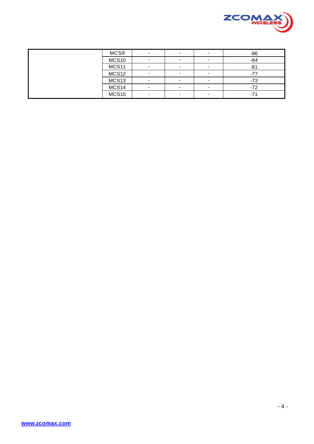

| MCS9              |  | -                        | $-86$ |
|-------------------|--|--------------------------|-------|
| MCS10             |  |                          | $-84$ |
| MCS11             |  |                          | $-81$ |
| MCS12             |  |                          | -7    |
| MCS <sub>13</sub> |  | $\overline{\phantom{0}}$ | $-73$ |
| MCS14             |  | $\overline{\phantom{0}}$ | $-72$ |
| MCS15             |  |                          | $-7'$ |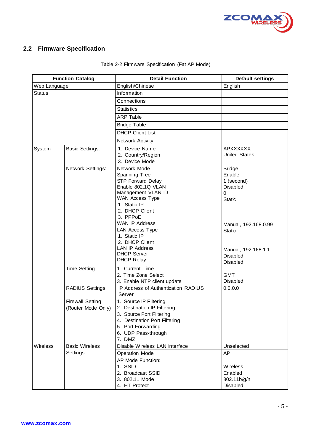

#### **2.2 Firmware Specification**

| <b>Function Catalog</b> |                                               | <b>Detail Function</b>                                                                                                                                                                                                                                                                                                                 | <b>Default settings</b>                                                                                                                                           |
|-------------------------|-----------------------------------------------|----------------------------------------------------------------------------------------------------------------------------------------------------------------------------------------------------------------------------------------------------------------------------------------------------------------------------------------|-------------------------------------------------------------------------------------------------------------------------------------------------------------------|
| Web Language            |                                               | English/Chinese                                                                                                                                                                                                                                                                                                                        | English                                                                                                                                                           |
| Status                  |                                               | Information                                                                                                                                                                                                                                                                                                                            |                                                                                                                                                                   |
|                         |                                               | Connections                                                                                                                                                                                                                                                                                                                            |                                                                                                                                                                   |
|                         |                                               | <b>Statistics</b>                                                                                                                                                                                                                                                                                                                      |                                                                                                                                                                   |
|                         |                                               | <b>ARP Table</b>                                                                                                                                                                                                                                                                                                                       |                                                                                                                                                                   |
|                         |                                               | <b>Bridge Table</b>                                                                                                                                                                                                                                                                                                                    |                                                                                                                                                                   |
|                         |                                               | <b>DHCP Client List</b>                                                                                                                                                                                                                                                                                                                |                                                                                                                                                                   |
|                         |                                               | Network Activity                                                                                                                                                                                                                                                                                                                       |                                                                                                                                                                   |
| System                  | <b>Basic Settings:</b>                        | 1. Device Name<br>2. Country/Region<br>3. Device Mode                                                                                                                                                                                                                                                                                  | <b>APXXXXXX</b><br><b>United States</b>                                                                                                                           |
|                         | Network Settings:                             | Network Mode<br>Spanning Tree<br><b>STP Forward Delay</b><br>Enable 802.1Q VLAN<br>Management VLAN ID<br><b>WAN Access Type</b><br>1. Static IP<br>2. DHCP Client<br>3. PPPoE<br><b>WAN IP Address</b><br><b>LAN Access Type</b><br>1. Static IP<br>2. DHCP Client<br><b>LAN IP Address</b><br><b>DHCP Server</b><br><b>DHCP Relay</b> | <b>Bridge</b><br>Enable<br>1 (second)<br><b>Disabled</b><br>0<br><b>Static</b><br>Manual, 192.168.0.99<br><b>Static</b><br>Manual, 192.168.1.1<br><b>Disabled</b> |
|                         | <b>Time Setting</b>                           | 1. Current Time<br>2. Time Zone Select<br>3. Enable NTP client update<br>IP Address of Authentication RADIUS                                                                                                                                                                                                                           | <b>Disabled</b><br><b>GMT</b><br>Disabled                                                                                                                         |
|                         | <b>RADIUS Settings</b>                        | Server                                                                                                                                                                                                                                                                                                                                 | 0.0.0.0                                                                                                                                                           |
|                         | <b>Firewall Setting</b><br>(Router Mode Only) | 1. Source IP Filtering<br>2. Destination IP Filtering<br>3. Source Port Filtering<br>4. Destination Port Filtering<br>5. Port Forwarding<br>6. UDP Pass-through<br>7. DMZ                                                                                                                                                              |                                                                                                                                                                   |
| Wireless                | <b>Basic Wireless</b>                         | Disable Wireless LAN Interface                                                                                                                                                                                                                                                                                                         | Unselected                                                                                                                                                        |
|                         | Settings                                      | <b>Operation Mode</b>                                                                                                                                                                                                                                                                                                                  | AP                                                                                                                                                                |
|                         |                                               | AP Mode Function:                                                                                                                                                                                                                                                                                                                      |                                                                                                                                                                   |
|                         |                                               | 1. SSID                                                                                                                                                                                                                                                                                                                                | Wireless                                                                                                                                                          |
|                         |                                               | 2. Broadcast SSID                                                                                                                                                                                                                                                                                                                      | Enabled                                                                                                                                                           |
|                         |                                               | 3. 802.11 Mode<br>4. HT Protect                                                                                                                                                                                                                                                                                                        | 802.11b/g/n<br>Disabled                                                                                                                                           |
|                         |                                               |                                                                                                                                                                                                                                                                                                                                        |                                                                                                                                                                   |

#### Table 2-2 Firmware Specification (Fat AP Mode)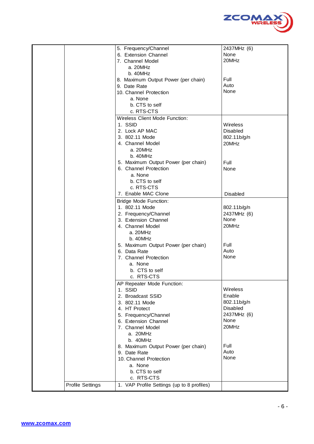

|                         | 5. Frequency/Channel                       | 2437MHz (6)     |
|-------------------------|--------------------------------------------|-----------------|
|                         | 6. Extension Channel                       | None            |
|                         | 7. Channel Model                           | 20MHz           |
|                         | a. 20MHz                                   |                 |
|                         | b. 40MHz                                   |                 |
|                         | 8. Maximum Output Power (per chain)        | Full            |
|                         | 9. Date Rate                               | Auto            |
|                         | 10. Channel Protection                     | None            |
|                         | a. None                                    |                 |
|                         | b. CTS to self                             |                 |
|                         | c. RTS-CTS                                 |                 |
|                         | Wireless Client Mode Function:             |                 |
|                         | 1. SSID                                    | Wireless        |
|                         | 2. Lock AP MAC                             | Disabled        |
|                         | 3. 802.11 Mode                             | 802.11b/g/n     |
|                         | 4. Channel Model                           | 20MHz           |
|                         | a. 20MHz                                   |                 |
|                         | b.40MHz                                    |                 |
|                         | 5. Maximum Output Power (per chain)        | Full            |
|                         | 6. Channel Protection                      | None            |
|                         | a. None                                    |                 |
|                         | b. CTS to self                             |                 |
|                         | c. RTS-CTS                                 |                 |
|                         | 7. Enable MAC Clone                        | <b>Disabled</b> |
|                         | <b>Bridge Mode Function:</b>               |                 |
|                         | 1. 802.11 Mode                             | 802.11b/g/n     |
|                         | 2. Frequency/Channel                       | 2437MHz (6)     |
|                         | 3. Extension Channel                       | None            |
|                         | 4. Channel Model                           | 20MHz           |
|                         | a. 20MHz                                   |                 |
|                         | b. 40MHz                                   |                 |
|                         | 5. Maximum Output Power (per chain)        | Full            |
|                         | 6. Data Rate                               | Auto            |
|                         | 7. Channel Protection                      | None            |
|                         | a. None                                    |                 |
|                         | b. CTS to self                             |                 |
|                         | c. RTS-CTS                                 |                 |
|                         | AP Repeater Mode Function:                 |                 |
|                         | 1. SSID                                    | Wireless        |
|                         | 2. Broadcast SSID                          | Enable          |
|                         | 3. 802.11 Mode                             | 802.11b/g/n     |
|                         | 4. HT Protect                              | Disabled        |
|                         | 5. Frequency/Channel                       | 2437MHz (6)     |
|                         | 6. Extension Channel                       | None            |
|                         | 7. Channel Model                           | 20MHz           |
|                         | a. 20MHz                                   |                 |
|                         | b. 40MHz                                   |                 |
|                         | 8. Maximum Output Power (per chain)        | Full            |
|                         | 9. Date Rate                               | Auto            |
|                         | 10. Channel Protection                     | None            |
|                         | a. None                                    |                 |
|                         | b. CTS to self                             |                 |
|                         | c. RTS-CTS                                 |                 |
| <b>Profile Settings</b> | 1. VAP Profile Settings (up to 8 profiles) |                 |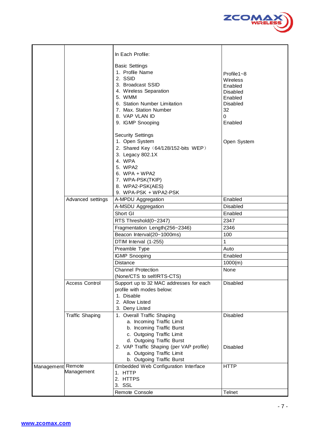

|                   |                        | In Each Profile:<br><b>Basic Settings</b><br>1. Profile Name<br>2. SSID<br>3. Broadcast SSID<br>4. Wireless Separation<br>5. WMM<br>6. Station Number Limitation<br>7. Max. Station Number<br>8. VAP VLAN ID<br>9. IGMP Snooping | Profile $1 - 8$<br>Wireless<br>Enabled<br><b>Disabled</b><br>Enabled<br><b>Disabled</b><br>32<br>$\Omega$<br>Enabled |
|-------------------|------------------------|----------------------------------------------------------------------------------------------------------------------------------------------------------------------------------------------------------------------------------|----------------------------------------------------------------------------------------------------------------------|
|                   |                        | <b>Security Settings</b><br>1. Open System<br>2. Shared Key (64/128/152-bits WEP)<br>3. Legacy 802.1X<br>4. WPA<br>5. WPA2<br>6. WPA + WPA2<br>7. WPA-PSK(TKIP)<br>8. WPA2-PSK(AES)<br>9. WPA-PSK + WPA2-PSK                     | Open System                                                                                                          |
|                   | Advanced settings      | A-MPDU Aggregation                                                                                                                                                                                                               | Enabled                                                                                                              |
|                   |                        | A-MSDU Aggregation                                                                                                                                                                                                               | <b>Disabled</b>                                                                                                      |
|                   |                        | Short GI                                                                                                                                                                                                                         | Enabled                                                                                                              |
|                   |                        | RTS Threshold(0~2347)                                                                                                                                                                                                            | 2347                                                                                                                 |
|                   |                        | Fragmentation Length(256~2346)                                                                                                                                                                                                   | 2346                                                                                                                 |
|                   |                        | Beacon Interval(20~1000ms)                                                                                                                                                                                                       | 100                                                                                                                  |
|                   |                        | DTIM Interval (1-255)                                                                                                                                                                                                            | 1                                                                                                                    |
|                   |                        | Preamble Type                                                                                                                                                                                                                    | Auto                                                                                                                 |
|                   |                        | <b>IGMP Snooping</b>                                                                                                                                                                                                             | Enabled                                                                                                              |
|                   |                        | <b>Distance</b>                                                                                                                                                                                                                  | 1000(m)                                                                                                              |
|                   |                        | <b>Channel Protection</b>                                                                                                                                                                                                        | None                                                                                                                 |
|                   |                        | (None/CTS to self/RTS-CTS)                                                                                                                                                                                                       |                                                                                                                      |
|                   | <b>Access Control</b>  | Support up to 32 MAC addresses for each<br>profile with modes below:<br>1. Disable<br>2. Allow Listed<br>3. Deny Listed                                                                                                          | Disabled                                                                                                             |
|                   | <b>Traffic Shaping</b> | 1. Overall Traffic Shaping<br>a. Incoming Traffic Limit<br>b. Incoming Traffic Burst<br>c. Outgoing Traffic Limit<br>d. Outgoing Traffic Burst<br>2. VAP Traffic Shaping (per VAP profile)                                       | Disabled<br><b>Disabled</b>                                                                                          |
|                   |                        | a. Outgoing Traffic Limit<br>b. Outgoing Traffic Burst                                                                                                                                                                           |                                                                                                                      |
| Management Remote | Management             | Embedded Web Configuration Interface<br>1. HTTP<br>2. HTTPS<br>3. SSL                                                                                                                                                            | <b>HTTP</b>                                                                                                          |
|                   |                        | Remote Console                                                                                                                                                                                                                   | <b>Telnet</b>                                                                                                        |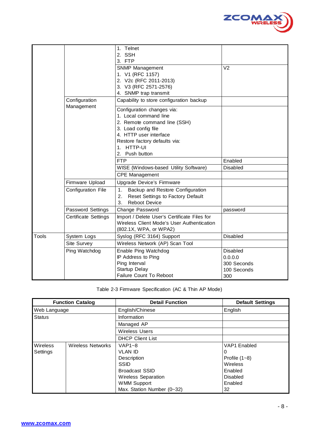

|       |                             | 1. Telnet                                    |                 |
|-------|-----------------------------|----------------------------------------------|-----------------|
|       |                             | 2. SSH                                       |                 |
|       |                             | 3. FTP                                       |                 |
|       |                             | SNMP Management                              | V <sub>2</sub>  |
|       |                             | 1. V1 (RFC 1157)                             |                 |
|       |                             | 2. V2c (RFC 2011-2013)                       |                 |
|       |                             | 3. V3 (RFC 2571-2576)                        |                 |
|       |                             | 4. SNMP trap transmit                        |                 |
|       | Configuration<br>Management | Capability to store configuration backup     |                 |
|       |                             | Configuration changes via:                   |                 |
|       |                             | 1. Local command line                        |                 |
|       |                             | 2. Remote command line (SSH)                 |                 |
|       |                             | 3. Load config file                          |                 |
|       |                             | 4. HTTP user interface                       |                 |
|       |                             | Restore factory defaults via:                |                 |
|       |                             | 1. HTTP-UI                                   |                 |
|       |                             | 2. Push button                               |                 |
|       |                             | <b>FTP</b>                                   | Enabled         |
|       |                             | WISE (Windows-based Utility Software)        | <b>Disabled</b> |
|       |                             | <b>CPE Management</b>                        |                 |
|       | Firmware Upload             | Upgrade Device's Firmware                    |                 |
|       | Configuration File          | Backup and Restore Configuration<br>1.       |                 |
|       |                             | Reset Settings to Factory Default<br>2.      |                 |
|       |                             | 3.<br><b>Reboot Device</b>                   |                 |
|       | Password Settings           | Change Password                              | password        |
|       | Certificate Settings        | Import / Delete User's Certificate Files for |                 |
|       |                             | Wireless Client Mode's User Authentication   |                 |
|       |                             | (802.1X, WPA, or WPA2)                       |                 |
| Tools | System Logs                 | Syslog (RFC 3164) Support                    | <b>Disabled</b> |
|       | Site Survey                 | Wireless Network (AP) Scan Tool              |                 |
|       | Ping Watchdog               | Enable Ping Watchdog                         | <b>Disabled</b> |
|       |                             | IP Address to Ping                           | 0.0.0.0         |
|       |                             | Ping Interval                                | 300 Seconds     |
|       |                             | Startup Delay                                | 100 Seconds     |
|       |                             | Failure Count To Reboot                      | 300             |

Table 2-3 Firmware Specification (AC & Thin AP Mode)

|               | <b>Function Catalog</b>  | <b>Detail Function</b>     | <b>Default Settings</b> |
|---------------|--------------------------|----------------------------|-------------------------|
| Web Language  |                          | English/Chinese            | English                 |
| <b>Status</b> |                          | Information                |                         |
|               |                          | Managed AP                 |                         |
|               |                          | <b>Wireless Users</b>      |                         |
|               |                          | <b>DHCP Client List</b>    |                         |
| Wireless      | <b>Wireless Networks</b> | $VAP1-8$                   | <b>VAP1</b> Enabled     |
| Settings      |                          | <b>VLAN ID</b>             | 0                       |
|               |                          | Description                | Profile $(1-8)$         |
|               |                          | <b>SSID</b>                | Wireless                |
|               |                          | <b>Broadcast SSID</b>      | Enabled                 |
|               |                          | <b>Wireless Separation</b> | Disabled                |
|               |                          | <b>WMM Support</b>         | Enabled                 |
|               |                          | Max. Station Number (0~32) | 32                      |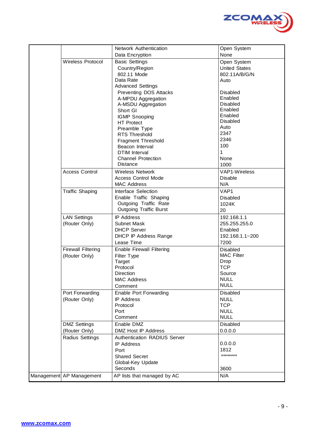

|                           | Network Authentication           | Open System          |
|---------------------------|----------------------------------|----------------------|
|                           | Data Encryption                  | None                 |
| <b>Wireless Protocol</b>  | <b>Basic Settings</b>            | Open System          |
|                           | Country/Region                   | <b>United States</b> |
|                           | 802.11 Mode                      | 802.11A/B/G/N        |
|                           | Data Rate                        | Auto                 |
|                           | <b>Advanced Settings</b>         |                      |
|                           | <b>Preventing DOS Attacks</b>    | <b>Disabled</b>      |
|                           | A-MPDU Aggregation               | Enabled              |
|                           | A-MSDU Aggregation               | <b>Disabled</b>      |
|                           | Short GI                         | Enabled              |
|                           | <b>IGMP Snooping</b>             | Enabled              |
|                           | <b>HT Protect</b>                | <b>Disabled</b>      |
|                           | Preamble Type                    | Auto                 |
|                           | RTS Threshold                    | 2347                 |
|                           | <b>Fragment Threshold</b>        | 2346                 |
|                           | Beacon Interval                  | 100                  |
|                           | <b>DTIM</b> Interval             | 1                    |
|                           | <b>Channel Protection</b>        | None                 |
|                           | <b>Distance</b>                  | 1000                 |
| <b>Access Control</b>     | <b>Wireless Network</b>          | <b>VAP1-Wireless</b> |
|                           | <b>Access Control Mode</b>       | <b>Disable</b>       |
|                           | <b>MAC Address</b>               | N/A                  |
| <b>Traffic Shaping</b>    | Interface Selection              | VAP1                 |
|                           | Enable Traffic Shaping           | <b>Disabled</b>      |
|                           | Outgoing Traffic Rate            | 1024K                |
|                           | <b>Outgoing Traffic Burst</b>    | 20                   |
| <b>LAN Settings</b>       | <b>IP Address</b>                | 192.168.1.1          |
| (Router Only)             | <b>Subnet Mask</b>               | 255.255.255.0        |
|                           | <b>DHCP Server</b>               | Enabled              |
|                           | DHCP IP Address Range            | 192.168.1.1~200      |
|                           | Lease Time                       | 7200                 |
| <b>Firewall Filtering</b> | <b>Enable Firewall Filtering</b> | <b>Disabled</b>      |
| (Router Only)             | Filter Type                      | <b>MAC Filter</b>    |
|                           | <b>Target</b>                    | Drop                 |
|                           | Protocol                         | <b>TCP</b>           |
|                           | Direction                        | Source               |
|                           | <b>MAC Address</b>               | <b>NULL</b>          |
|                           | Comment                          | <b>NULL</b>          |
| Port Forwarding           | <b>Enable Port Forwarding</b>    | Disabled             |
| (Router Only)             | <b>IP Address</b>                | <b>NULL</b>          |
|                           | Protocol                         | <b>TCP</b>           |
|                           | Port                             | <b>NULL</b>          |
|                           | Comment                          | <b>NULL</b>          |
| <b>DMZ Settings</b>       | Enable DMZ                       | Disabled             |
| (Router Only)             | <b>DMZ Host IP Address</b>       | 0.0.0.0              |
| Radius Settings           | Authentication RADIUS Server     |                      |
|                           | <b>IP Address</b>                | 0.0.0.0              |
|                           | Port                             | 1812                 |
|                           | <b>Shared Secret</b>             | ********             |
|                           | Global-Key Update                |                      |
|                           | Seconds                          | 3600                 |
| Management AP Management  | AP lists that managed by AC      | N/A                  |
|                           |                                  |                      |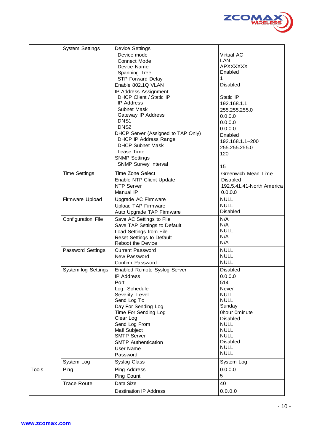

|       | <b>System Settings</b> | <b>Device Settings</b>                        |                                              |
|-------|------------------------|-----------------------------------------------|----------------------------------------------|
|       |                        | Device mode                                   | Virtual AC                                   |
|       |                        | <b>Connect Mode</b>                           | LAN                                          |
|       |                        | Device Name                                   | <b>APXXXXXX</b>                              |
|       |                        | Spanning Tree                                 | Enabled                                      |
|       |                        | <b>STP Forward Delay</b>                      | 1                                            |
|       |                        | Enable 802.1Q VLAN                            | <b>Disabled</b>                              |
|       |                        | IP Address Assignment                         |                                              |
|       |                        | DHCP Client / Static IP                       | Static IP                                    |
|       |                        | <b>IP Address</b>                             | 192.168.1.1                                  |
|       |                        | <b>Subnet Mask</b>                            | 255.255.255.0                                |
|       |                        | Gateway IP Address<br>DNS <sub>1</sub>        | 0.0.0.0                                      |
|       |                        | DNS <sub>2</sub>                              | 0.0.0.0                                      |
|       |                        | DHCP Server (Assigned to TAP Only)            | 0.0.0.0                                      |
|       |                        | <b>DHCP IP Address Range</b>                  | Enabled                                      |
|       |                        | <b>DHCP Subnet Mask</b>                       | 192.168.1.1~200                              |
|       |                        | Lease Time                                    | 255.255.255.0                                |
|       |                        | <b>SNMP Settings</b>                          | 120                                          |
|       |                        | <b>SNMP Survey Interval</b>                   |                                              |
|       |                        |                                               | 15                                           |
|       | <b>Time Settings</b>   | <b>Time Zone Select</b>                       | Greenwich Mean Time                          |
|       |                        | Enable NTP Client Update<br><b>NTP Server</b> | <b>Disabled</b><br>192.5.41.41-North America |
|       |                        | Manual IP                                     | 0.0.0.0                                      |
|       | Firmware Upload        | Upgrade AC Firmware                           | <b>NULL</b>                                  |
|       |                        | Upload TAP Firmware                           | <b>NULL</b>                                  |
|       |                        | Auto Upgrade TAP Firmware                     | <b>Disabled</b>                              |
|       | Configuration File     | Save AC Settings to File                      | N/A                                          |
|       |                        | Save TAP Settings to Default                  | N/A                                          |
|       |                        | Load Settings from File                       | <b>NULL</b>                                  |
|       |                        | <b>Reset Settings to Default</b>              | N/A                                          |
|       |                        | <b>Reboot the Device</b>                      | N/A                                          |
|       | Password Settings      | <b>Current Password</b>                       | <b>NULL</b>                                  |
|       |                        | New Password                                  | <b>NULL</b>                                  |
|       |                        | Confirm Password                              | <b>NULL</b>                                  |
|       | System log Settings    | Enabled Remote Syslog Server                  | Disabled                                     |
|       |                        | <b>IP Address</b>                             | 0.0.0.0                                      |
|       |                        | Port                                          | 514                                          |
|       |                        | Log Schedule                                  | Never                                        |
|       |                        | Severity Level                                | <b>NULL</b>                                  |
|       |                        | Send Log To                                   | <b>NULL</b>                                  |
|       |                        | Day For Sending Log                           | Sunday<br>Ohour Ominute                      |
|       |                        | Time For Sending Log<br>Clear Log             | <b>Disabled</b>                              |
|       |                        | Send Log From                                 | <b>NULL</b>                                  |
|       |                        | Mail Subject                                  | <b>NULL</b>                                  |
|       |                        | <b>SMTP Server</b>                            | <b>NULL</b>                                  |
|       |                        | <b>SMTP Authentication</b>                    | Disabled                                     |
|       |                        | User Name                                     | <b>NULL</b>                                  |
|       |                        | Password                                      | <b>NULL</b>                                  |
|       | System Log             | <b>Syslog Class</b>                           | System Log                                   |
| Tools | Ping                   | Ping Address                                  | 0.0.0.0                                      |
|       |                        | Ping Count                                    | 5                                            |
|       | <b>Trace Route</b>     | Data Size                                     | 40                                           |
|       |                        | <b>Destination IP Address</b>                 | 0.0.0.0                                      |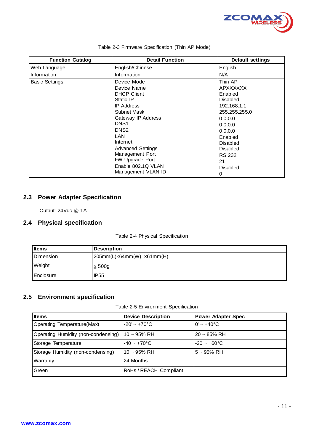

| <b>Function Catalog</b> | <b>Detail Function</b>   | <b>Default settings</b> |
|-------------------------|--------------------------|-------------------------|
| Web Language            | English/Chinese          | English                 |
| Information             | Information              | N/A                     |
| <b>Basic Settings</b>   | Device Mode              | Thin AP                 |
|                         | Device Name              | <b>APXXXXXX</b>         |
|                         | <b>DHCP Client</b>       | Enabled                 |
|                         | Static IP                | <b>Disabled</b>         |
|                         | <b>IP Address</b>        | 192.168.1.1             |
|                         | Subnet Mask              | 255.255.255.0           |
|                         | Gateway IP Address       | 0.0.0.0                 |
|                         | DNS <sub>1</sub>         | 0.0.0.0                 |
|                         | DNS <sub>2</sub>         | 0.0.0.0                 |
|                         | LAN                      | Enabled                 |
|                         | Internet                 | <b>Disabled</b>         |
|                         | <b>Advanced Settings</b> | <b>Disabled</b>         |
|                         | Management Port          | <b>RS 232</b>           |
|                         | FW Upgrade Port          | 21                      |
|                         | Enable 802.1Q VLAN       | <b>Disabled</b>         |
|                         | Management VLAN ID       | 0                       |

#### Table 2-3 Firmware Specification (Thin AP Mode)

#### **2.3 Power Adapter Specification**

Output: 24Vdc @ 1A

#### **2.4 Physical specification**

Table 2-4 Physical Specification

| <b>I</b> tems      | <b>Description</b>            |
|--------------------|-------------------------------|
| <b>I</b> Dimension | $205mm(L)x64mm(W)$ $x61mm(H)$ |
| Weight             | $\leq 500g$                   |
| <b>Enclosure</b>   | <b>IP55</b>                   |

#### **2.5 Environment specification**

Table 2-5 Environment Specification

| <b>Items</b>                        | <b>Device Description</b> | <b>Power Adapter Spec</b>      |
|-------------------------------------|---------------------------|--------------------------------|
| Operating Temperature(Max)          | $-20' \sim +70$ °C        | $0^{\circ}$ ~ +40 $^{\circ}$ C |
| Operating Humidity (non-condensing) | $10 - 95%$ RH             | $20 - 85%$ RH                  |
| Storage Temperature                 | $-40 \sim +70$ °C         | $-20 - +60$ °C                 |
| Storage Humidity (non-condensing)   | $10 - 95\%$ RH            | $5 - 95%$ RH                   |
| Warranty                            | 24 Months                 |                                |
| Green                               | RoHs / REACH Compliant    |                                |